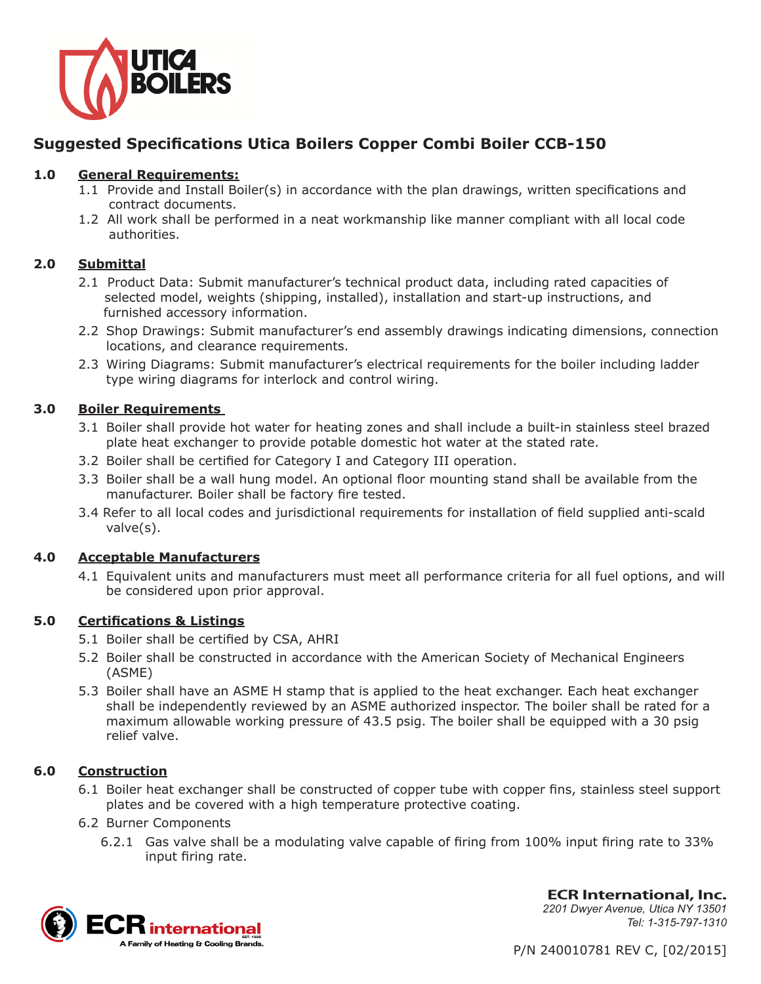

# **Suggested Specifications Utica Boilers Copper Combi Boiler CCB-150**

## **1.0 General Requirements:**

- 1.1 Provide and Install Boiler(s) in accordance with the plan drawings, written specifications and contract documents.
- 1.2 All work shall be performed in a neat workmanship like manner compliant with all local code authorities.

# **2.0 Submittal**

- 2.1 Product Data: Submit manufacturer's technical product data, including rated capacities of selected model, weights (shipping, installed), installation and start-up instructions, and furnished accessory information.
- 2.2 Shop Drawings: Submit manufacturer's end assembly drawings indicating dimensions, connection locations, and clearance requirements.
- 2.3 Wiring Diagrams: Submit manufacturer's electrical requirements for the boiler including ladder type wiring diagrams for interlock and control wiring.

# **3.0 Boiler Requirements**

- 3.1 Boiler shall provide hot water for heating zones and shall include a built-in stainless steel brazed plate heat exchanger to provide potable domestic hot water at the stated rate.
- 3.2 Boiler shall be certified for Category I and Category III operation.
- 3.3 Boiler shall be a wall hung model. An optional floor mounting stand shall be available from the manufacturer. Boiler shall be factory fire tested.
- 3.4 Refer to all local codes and jurisdictional requirements for installation of field supplied anti-scald valve(s).

## **4.0 Acceptable Manufacturers**

4.1 Equivalent units and manufacturers must meet all performance criteria for all fuel options, and will be considered upon prior approval.

## **5.0 Certifications & Listings**

- 5.1 Boiler shall be certified by CSA, AHRI
- 5.2 Boiler shall be constructed in accordance with the American Society of Mechanical Engineers (ASME)
- 5.3 Boiler shall have an ASME H stamp that is applied to the heat exchanger. Each heat exchanger shall be independently reviewed by an ASME authorized inspector. The boiler shall be rated for a maximum allowable working pressure of 43.5 psig. The boiler shall be equipped with a 30 psig relief valve.

## **6.0 Construction**

- 6.1 Boiler heat exchanger shall be constructed of copper tube with copper fins, stainless steel support plates and be covered with a high temperature protective coating.
- 6.2 Burner Components
	- 6.2.1 Gas valve shall be a modulating valve capable of firing from 100% input firing rate to 33% input firing rate.



**ECR International, Inc.** *2201 Dwyer Avenue, Utica NY 13501 Tel: 1-315-797-1310*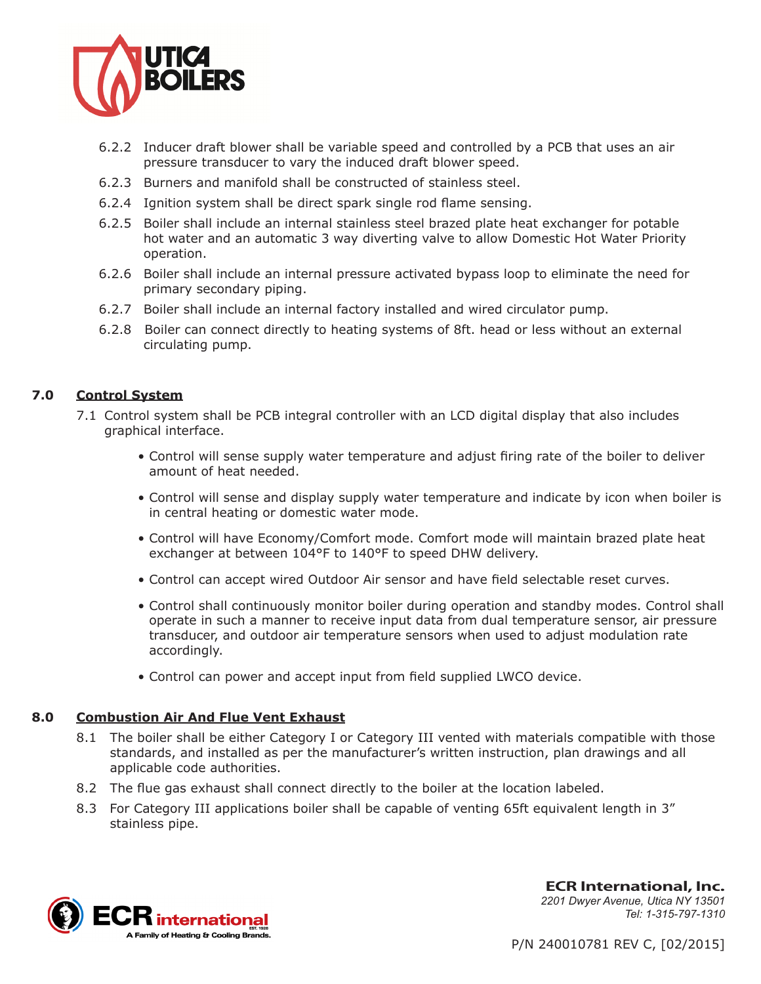

- 6.2.2 Inducer draft blower shall be variable speed and controlled by a PCB that uses an air pressure transducer to vary the induced draft blower speed.
- 6.2.3 Burners and manifold shall be constructed of stainless steel.
- 6.2.4 Ignition system shall be direct spark single rod flame sensing.
- 6.2.5 Boiler shall include an internal stainless steel brazed plate heat exchanger for potable hot water and an automatic 3 way diverting valve to allow Domestic Hot Water Priority operation.
- 6.2.6 Boiler shall include an internal pressure activated bypass loop to eliminate the need for primary secondary piping.
- 6.2.7 Boiler shall include an internal factory installed and wired circulator pump.
- 6.2.8 Boiler can connect directly to heating systems of 8ft. head or less without an external circulating pump.

#### **7.0 Control System**

- 7.1 Control system shall be PCB integral controller with an LCD digital display that also includes graphical interface.
	- Control will sense supply water temperature and adjust firing rate of the boiler to deliver amount of heat needed.
	- Control will sense and display supply water temperature and indicate by icon when boiler is in central heating or domestic water mode.
	- Control will have Economy/Comfort mode. Comfort mode will maintain brazed plate heat exchanger at between 104°F to 140°F to speed DHW delivery.
	- Control can accept wired Outdoor Air sensor and have field selectable reset curves.
	- Control shall continuously monitor boiler during operation and standby modes. Control shall operate in such a manner to receive input data from dual temperature sensor, air pressure transducer, and outdoor air temperature sensors when used to adjust modulation rate accordingly.
	- Control can power and accept input from field supplied LWCO device.

#### **8.0 Combustion Air And Flue Vent Exhaust**

- 8.1 The boiler shall be either Category I or Category III vented with materials compatible with those standards, and installed as per the manufacturer's written instruction, plan drawings and all applicable code authorities.
- 8.2 The flue gas exhaust shall connect directly to the boiler at the location labeled.
- 8.3 For Category III applications boiler shall be capable of venting 65ft equivalent length in 3" stainless pipe.



**ECR International, Inc.** *2201 Dwyer Avenue, Utica NY 13501 Tel: 1-315-797-1310*